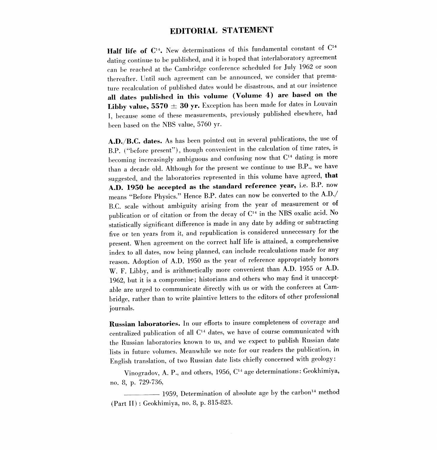## EDITORIAL STATEMENT

Half life of  $C^{14}$ . New determinations of this fundamental constant of  $C^{14}$ dating continue to be published, and it is hoped that interlaboratory agreement can be reached at the Cambridge conference scheduled for July 1962 or soon thereafter. Until such agreement can be announced, we consider that premature recalculation of published dates would be disastrous, and at our insistence all dates published in this volume (Volume 4) are based on the Libby value,  $5570 \pm 30$  yr. Exception has been made for dates in Louvain I, because some of these measurements, previously published elsewhere, had been based on the NBS value, 5760 yr.

A.D./B.C. dates. As has been pointed out in several publications, the use of B.P. ("before present"), though convenient in the calculation of time rates, is becoming increasingly ambiguous and confusing now that  $C<sup>14</sup>$  dating is more than a decade old. Although for the present we continue to use B.P., we have suggested, and the laboratories represented in this volume have agreed, that A.D. 1950 be accepted as the standard reference year, i.e. B.P. now means "Before Physics." Hence B.P. dates can now be converted to the A.D./ B.C. scale without ambiguity arising from the year of measurement or of publication or of citation or from the decay of C14 in the NBS oxalic acid. No statistically significant difference is made in any date by adding or subtracting five or ten years from it, and republication is considered unnecessary for the present. When agreement on the correct half life is attained, a comprehensive index to all dates, now being planned, can include recalculations made for any reason. Adoption of A.D. 1950 as the year of reference appropriately honors W. F. Libby, and is arithmetically more convenient than A.D. 1955 or A.D. 1962, but it is a compromise; historians and others who may find it unacceptable are urged to communicate directly with us or with the conferees at Cambridge, rather than to write plaintive letters to the editors of other professional journals.

Russian laboratories. In our efforts to insure completeness of coverage and centralized publication of all C14 dates, we have of course communicated with the Russian laboratories known to us, and we expect to publish Russian date lists in future volumes. Meanwhile we note for our readers the publication, in English translation, of two Russian date lists chiefly concerned with geology :

Vinogradov, A. P., and others, 1956, C14 age determinations: Geokhimiya, no. 8, p. 729-736,

- 1959, Determination of absolute age by the carbon<sup>14</sup> method (Part II) : Geokhimiya, no. 8, p. 815-823.